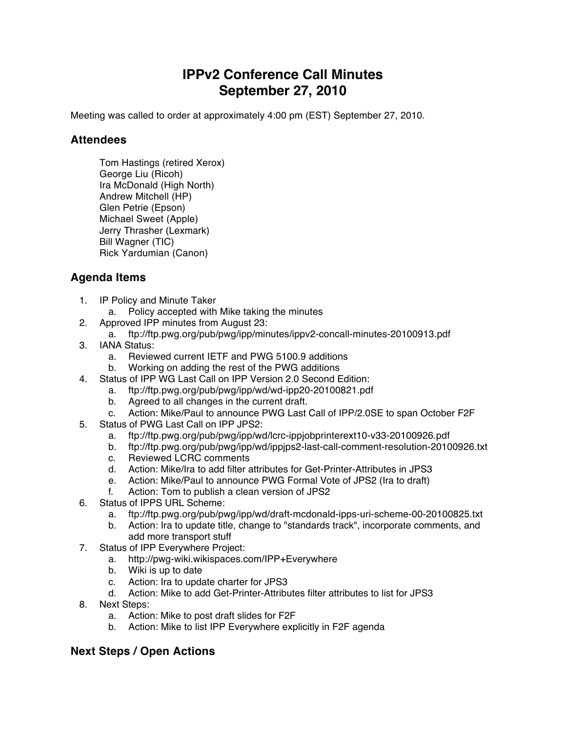## **IPPv2 Conference Call Minutes September 27, 2010**

Meeting was called to order at approximately 4:00 pm (EST) September 27, 2010.

## **Attendees**

Tom Hastings (retired Xerox) George Liu (Ricoh) Ira McDonald (High North) Andrew Mitchell (HP) Glen Petrie (Epson) Michael Sweet (Apple) Jerry Thrasher (Lexmark) Bill Wagner (TIC) Rick Yardumian (Canon)

## **Agenda Items**

- 1. IP Policy and Minute Taker
	- a. Policy accepted with Mike taking the minutes
- 2. Approved IPP minutes from August 23:
	- a. ftp://ftp.pwg.org/pub/pwg/ipp/minutes/ippv2-concall-minutes-20100913.pdf
- 3. IANA Status:
	- a. Reviewed current IETF and PWG 5100.9 additions
	- b. Working on adding the rest of the PWG additions
- 4. Status of IPP WG Last Call on IPP Version 2.0 Second Edition:
	- a. ftp://ftp.pwg.org/pub/pwg/ipp/wd/wd-ipp20-20100821.pdf
		- b. Agreed to all changes in the current draft.
- c. Action: Mike/Paul to announce PWG Last Call of IPP/2.0SE to span October F2F
- 5. Status of PWG Last Call on IPP JPS2:
	- a. ftp://ftp.pwg.org/pub/pwg/ipp/wd/lcrc-ippjobprinterext10-v33-20100926.pdf
	- b. ftp://ftp.pwg.org/pub/pwg/ipp/wd/ippjps2-last-call-comment-resolution-20100926.txt
	- c. Reviewed LCRC comments
	- d. Action: Mike/Ira to add filter attributes for Get-Printer-Attributes in JPS3
	- e. Action: Mike/Paul to announce PWG Formal Vote of JPS2 (Ira to draft)
	- f. Action: Tom to publish a clean version of JPS2
- 6. Status of IPPS URL Scheme:
	- a. ftp://ftp.pwg.org/pub/pwg/ipp/wd/draft-mcdonald-ipps-uri-scheme-00-20100825.txt
	- b. Action: Ira to update title, change to "standards track", incorporate comments, and add more transport stuff
- 7. Status of IPP Everywhere Project:
	- a. http://pwg-wiki.wikispaces.com/IPP+Everywhere
	- b. Wiki is up to date
	- c. Action: Ira to update charter for JPS3
	- d. Action: Mike to add Get-Printer-Attributes filter attributes to list for JPS3
- 8. Next Steps:
	- a. Action: Mike to post draft slides for F2F
	- b. Action: Mike to list IPP Everywhere explicitly in F2F agenda

## **Next Steps / Open Actions**